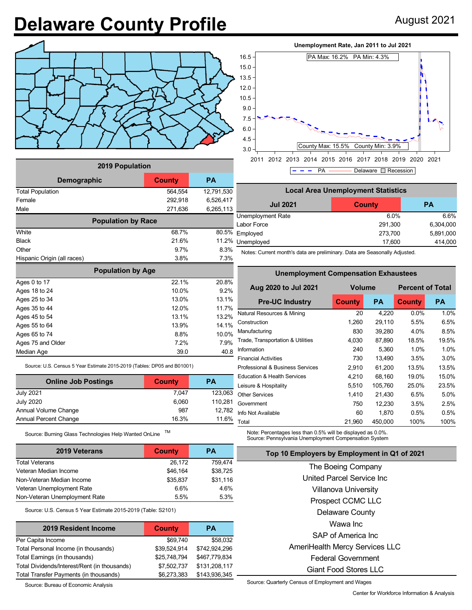## **Delaware County Profile** August 2021



| <b>2019 Population</b>      |               |            |  |  |  |  |
|-----------------------------|---------------|------------|--|--|--|--|
| Demographic                 | <b>County</b> | <b>PA</b>  |  |  |  |  |
| <b>Total Population</b>     | 564,554       | 12,791,530 |  |  |  |  |
| Female                      | 292,918       | 6,526,417  |  |  |  |  |
| Male                        | 271,636       | 6,265,113  |  |  |  |  |
| <b>Population by Race</b>   |               |            |  |  |  |  |
| White                       | 68.7%         | 80.5%      |  |  |  |  |
| <b>Black</b>                | 21.6%         | 11.2%      |  |  |  |  |
| Other                       | 97%           | 8.3%       |  |  |  |  |
| Hispanic Origin (all races) | 3.8%          | 7.3%       |  |  |  |  |
| <b>Population by Age</b>    |               |            |  |  |  |  |
| Ages 0 to 17                | 22 1%         | 20.8%      |  |  |  |  |
| Ages 18 to 24               | 10.0%         | 9.2%       |  |  |  |  |
| Ages 25 to 34               | 13.0%         | 13.1%      |  |  |  |  |
| Ages 35 to 44               | 12.0%         | 11.7%      |  |  |  |  |
| Ages 45 to 54               | 13.1%         | 13.2%      |  |  |  |  |
| Ages 55 to 64               | 13.9%         | 14.1%      |  |  |  |  |
| Ages 65 to 74               | 8.8%          | 10.0%      |  |  |  |  |
| Ages 75 and Older           | 7.2%          | 7.9%       |  |  |  |  |
| Median Age                  | 39.0          | 40.8       |  |  |  |  |

Source: U.S. Census 5 Year Estimate 2015-2019 (Tables: DP05 and B01001)

| <b>Online Job Postings</b>   | <b>County</b> | <b>PA</b> |  |
|------------------------------|---------------|-----------|--|
| <b>July 2021</b>             | 7.047         | 123,063   |  |
| <b>July 2020</b>             | 6,060         | 110,281   |  |
| Annual Volume Change         | 987           | 12.782    |  |
| <b>Annual Percent Change</b> | 16.3%         | 11.6%     |  |

Source: Burning Glass Technologies Help Wanted OnLine TM

| <b>2019 Veterans</b>          | County   | <b>PA</b> |
|-------------------------------|----------|-----------|
| <b>Total Veterans</b>         | 26.172   | 759.474   |
| Veteran Median Income         | \$46,164 | \$38,725  |
| Non-Veteran Median Income     | \$35,837 | \$31,116  |
| Veteran Unemployment Rate     | 6.6%     | 4.6%      |
| Non-Veteran Unemployment Rate | 5.5%     | 5.3%      |

Source: U.S. Census 5 Year Estimate 2015-2019 (Table: S2101)

| 2019 Resident Income                         | <b>County</b> | PА            |
|----------------------------------------------|---------------|---------------|
| Per Capita Income                            | \$69,740      | \$58,032      |
| Total Personal Income (in thousands)         | \$39,524,914  | \$742,924,296 |
| Total Earnings (in thousands)                | \$25,748,794  | \$467,779,834 |
| Total Dividends/Interest/Rent (in thousands) | \$7,502,737   | \$131,208,117 |
| Total Transfer Payments (in thousands)       | \$6,273,383   | \$143,936,345 |

Source: Bureau of Economic Analysis

## **Unemployment Rate, Jan 2011 to Jul 2021**



| <b>Local Area Unemployment Statistics</b>     |         |           |  |  |  |  |
|-----------------------------------------------|---------|-----------|--|--|--|--|
| <b>Jul 2021</b><br><b>PA</b><br><b>County</b> |         |           |  |  |  |  |
| Unemployment Rate                             | 6.0%    | 6.6%      |  |  |  |  |
| Labor Force                                   | 291,300 | 6,304,000 |  |  |  |  |
| Employed                                      | 273,700 | 5,891,000 |  |  |  |  |
| Unemployed                                    | 17,600  | 414,000   |  |  |  |  |

Notes: Current month's data are preliminary. Data are Seasonally Adjusted.

| <b>Unemployment Compensation Exhaustees</b> |               |           |                         |           |  |  |  |  |
|---------------------------------------------|---------------|-----------|-------------------------|-----------|--|--|--|--|
| Aug 2020 to Jul 2021                        | <b>Volume</b> |           | <b>Percent of Total</b> |           |  |  |  |  |
| <b>Pre-UC Industry</b>                      | <b>County</b> | <b>PA</b> | <b>County</b>           | <b>PA</b> |  |  |  |  |
| Natural Resources & Mining                  | 20            | 4,220     | 0.0%                    | 1.0%      |  |  |  |  |
| Construction                                | 1,260         | 29,110    | 5.5%                    | 6.5%      |  |  |  |  |
| Manufacturing                               | 830           | 39,280    | 4.0%                    | 8.5%      |  |  |  |  |
| Trade, Transportation & Utilities           | 4,030         | 87,890    | 18.5%                   | 19.5%     |  |  |  |  |
| Information                                 | 240           | 5,360     | 1.0%                    | 1.0%      |  |  |  |  |
| <b>Financial Activities</b>                 | 730           | 13,490    | 3.5%                    | 3.0%      |  |  |  |  |
| Professional & Business Services            | 2,910         | 61,200    | 13.5%                   | 13.5%     |  |  |  |  |
| <b>Education &amp; Health Services</b>      | 4,210         | 68,160    | 19.0%                   | 15.0%     |  |  |  |  |
| Leisure & Hospitality                       | 5.510         | 105.760   | 25.0%                   | 23.5%     |  |  |  |  |
| <b>Other Services</b>                       | 1,410         | 21,430    | 6.5%                    | 5.0%      |  |  |  |  |
| Government                                  | 750           | 12,230    | 3.5%                    | 2.5%      |  |  |  |  |
| Info Not Available                          | 60            | 1,870     | 0.5%                    | 0.5%      |  |  |  |  |
| Total                                       | 21,960        | 450,000   | 100%                    | 100%      |  |  |  |  |

Note: Percentages less than 0.5% will be displayed as 0.0%. Source: Pennsylvania Unemployment Compensation System

| Top 10 Employers by Employment in Q1 of 2021 |  |  |
|----------------------------------------------|--|--|
|                                              |  |  |

The Boeing Company United Parcel Service Inc Villanova University Prospect CCMC LLC Delaware County Wawa Inc SAP of America Inc AmeriHealth Mercy Services LLC Federal Government Giant Food Stores LLC

Source: Quarterly Census of Employment and Wages